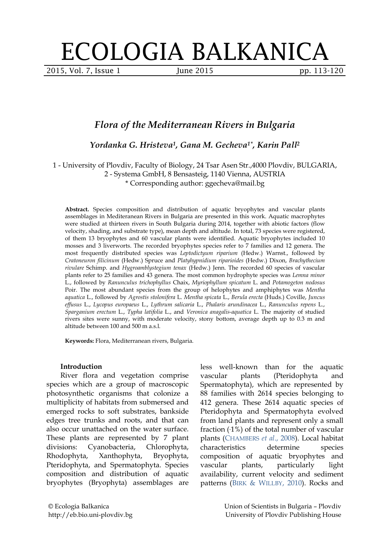# ECOLOGIA BALKANICA

2015, Vol. 7, Issue 1 June 2015 **pp. 113-120** 

## *Flora of the Mediterranean Rivers in Bulgaria*

*Yordanka G. Hristeva1, Gana M. Gecheva1\*, Karin Pall2*

### 1 - University of Plovdiv, Faculty of Biology, 24 Tsar Asen Str.,4000 Plovdiv, BULGARIA, 2 - Systema GmbH, 8 Bensasteig, 1140 Vienna, AUSTRIA

\* Corresponding author: ggecheva@mail.bg

**Abstract.** Species composition and distribution of aquatic bryophytes and vascular plants assemblages in Mediteranean Rivers in Bulgaria are presented in this work. Aquatic macrophytes were studied at thirteen rivers in South Bulgaria during 2014, together with abiotic factors (flow velocity, shading, and substrate type), mean depth and altitude. In total, 73 species were registered, of them 13 bryophytes and 60 vascular plants were identified. Aquatic bryophytes included 10 mosses and 3 liverworts. The recorded bryophytes species refer to 7 families and 12 genera. The most frequently distributed species was *Leptodictyum riparium* (Hedw.) Warnst., followed by *Cratoneuron filicinum* (Hedw.) Spruce and *Platyhypnidium riparioides* (Hedw.) Dixon, *Brachythecium rivulare* Schimp. and *Hygroamblystegium tenax* (Hedw.) Jenn. The recorded 60 species of vascular plants refer to 25 families and 43 genera. The most common hydrophyte species was *Lemna minor* L., followed by *Ranunculus trichophyllus* Chaix, *Myriophyllum spicatum* L. and *Potamogeton nodosus* Poir. The most abundant species from the group of helophytes and amphiphytes was *Mentha aquatica* L., followed by *Agrostis stolonifera* L. *Mentha spicata* L., *Berula erecta* (Huds.) Coville, *Juncus effusus* L., *Lycopus europaeus* L., *Lythrum salicaria* L., *Phalaris arundinacea* L., *Ranunculus repens* L., *Sparganium erectum* L., *Typha latifolia* L., and *Veronica anagalis-aquatica* L. The majority of studied rivers sites were sunny, with moderate velocity, stony bottom, average depth up to 0.3 m and altitude between 100 and 500 m a.s.l.

**Keywords:** Flora, Mediterranean rivers, Bulgaria.

#### **Introduction**

River flora and vegetation comprise species which are a group of macroscopic photosynthetic organisms that colonize a multiplicity of habitats from submersed and emerged rocks to soft substrates, bankside edges tree trunks and roots, and that can also occur unattached on the water surface. These plants are represented by 7 plant divisions: Cyanobacteria, Chlorophyta, Rhodophyta, Xanthophyta, Bryophyta, Pteridophyta, and Spermatophyta. Species composition and distribution of aquatic bryophytes (Bryophyta) assemblages are

less well-known than for the aquatic vascular plants (Pteridophyta and Spermatophyta), which are represented by 88 families with 2614 species belonging to 412 genera. These 2614 aquatic species of Pteridophyta and Spermatophyta evolved from land plants and represent only a small fraction  $(-1\%)$  of the total number of vascular plants [\(CHAMBERS](#page-5-0) *et al*., 2008). Local habitat characteristics determine species composition of aquatic bryophytes and vascular plants, particularly light availability, current velocity and sediment patterns (BIRK [& WILLBY, 2010\)](#page-5-1). Rocks and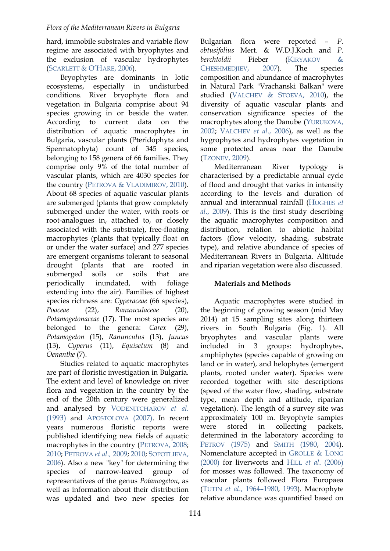hard, immobile substrates and variable flow regime are associated with bryophytes and the exclusion of vascular hydrophytes [\(SCARLETT & O'HARE, 2006\)](#page-6-0).

Bryophytes are dominants in lotic ecosystems, especially in undisturbed conditions. River bryophyte flora and vegetation in Bulgaria comprise about 94 species growing in or beside the water. According to current data on the distribution of aquatic macrophytes in Bulgaria, vascular plants (Pteridophyta and Spermatophyta) count of 345 species, belonging to 158 genera of 66 families. They comprise only 9% of the total number of vascular plants, which are 4030 species for the country (PETROVA [& VLADIMIROV, 2010\)](#page-6-1). About 68 species of aquatic vascular plants are submerged (plants that grow completely submerged under the water, with roots or root-analogues in, attached to, or closely associated with the substrate), free-floating macrophytes (plants that typically float on or under the water surface) and 277 species are emergent organisms tolerant to seasonal drought (plants that are rooted in submerged soils or soils that are periodically inundated, with foliage extending into the air). Families of highest species richness are: *Cyperaceae* (66 species), *Poaceae* (22), *Ranunculaceae* (20), *Potamogetonaceae* (17). The most species are belonged to the genera: *Carex* (29), *Potamogeton* (15), *Ranunculus* (13), *Juncus* (13), *Cyperus* (11), *Equisetum* (8) and *Oenanthe* (7).

Studies related to aquatic macrophytes are part of floristic investigation in Bulgaria. The extent and level of knowledge on river flora and vegetation in the country by the end of the 20th century were generalized and analysed by [VODENITCHAROV](#page-7-0) *et al*. [\(1993\)](#page-7-0) and [APOSTOLOVA](#page-5-2) (2007). In recent years numerous floristic reports were published identifying new fields of aquatic macrophytes in the country [\(PETROVA,](#page-6-2) 2008; [2010;](#page-6-3) [PETROVA](#page-6-0) *et al.,* 2009; [2010;](#page-6-4) [SOPOTLIEVA,](#page-6-5) [2006\)](#page-6-5). Also a new "key" for determining the species of narrow-leaved group of representatives of the genus *Potamogeton*, as well as information about their distribution was updated and two new species for

Bulgarian flora were reported – *P. obtusifolius* Mert. & W.D.J.Koch and *P. berchtoldii* Fieber [\(KIRYAKOV](#page-6-6) & [CHESHMEDJIEV, 2007\)](#page-6-6). The species composition and abundance of macrophytes in Natural Park "Vrachanski Balkan" were studied (VALCHEV [& STOEVA, 2010\)](#page-6-7), the diversity of aquatic vascular plants and conservation significance species of the macrophytes along the Danube [\(YURUKOVA,](#page-7-1)  [2002;](#page-7-1) [VALCHEV](#page-6-8) *et al*., 2006), as well as the hygrophytes and hydrophytes vegetation in some protected areas near the Danube [\(TZONEV, 2009\)](#page-6-9).

Mediterranean River typology characterised by a predictable annual cycle of flood and drought that varies in intensity according to the levels and duration of annual and interannual rainfall [\(HUGHES](#page-6-10) *et al*[., 2009\)](#page-6-10). This is the first study describing the aquatic macrophytes composition and distribution, relation to abiotic habitat factors (flow velocity, shading, substrate type), and relative abundance of species of Mediterranean Rivers in Bulgaria. Altitude and riparian vegetation were also discussed.

#### **Materials and Methods**

Aquatic macrophytes were studied in the beginning of growing season (mid May 2014) at 15 sampling sites along thirteen rivers in South Bulgaria (Fig. 1). All bryophytes and vascular plants were included in 3 groups: hydrophytes, amphiphytes (species capable of growing on land or in water), and helophytes (emergent plants, rooted under water). Species were recorded together with site descriptions (speed of the water flow, shading, substrate type, mean depth and altitude, riparian vegetation). The length of a survey site was approximately 100 m. Bryophyte samples were stored in collecting packets, determined in the laboratory according to [PETROV](#page-6-11) (1975) and [SMITH](#page-6-5) (1980, [2004\)](#page-6-12). Nomenclature accepted in GROLLE [& LONG](#page-5-3) [\(2000\)](#page-5-3) for liverworts and HILL *et al*[. \(2006\)](#page-5-4) for mosses was followed. The taxonomy of vascular plants followed Flora Europaea (TUTIN *et al*[., 1964–1980,](#page-6-13) [1993\)](#page-6-14). Macrophyte relative abundance was quantified based on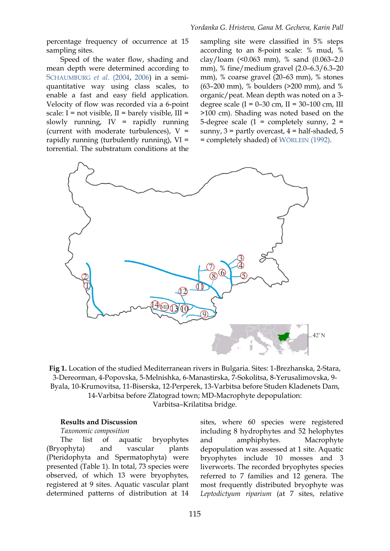percentage frequency of occurrence at 15 sampling sites.

Speed of the water flow, shading and mean depth were determined according to [SCHAUMBURG](#page-6-15) *et al*. (2004, [2006\)](#page-6-16) in a semiquantitative way using class scales, to enable a fast and easy field application. Velocity of flow was recorded via a 6-point scale:  $I = not visible$ ,  $II = barely visible$ ,  $III =$ slowly running, IV = rapidly running (current with moderate turbulences),  $V =$ rapidly running (turbulently running), VI = torrential. The substratum conditions at the

sampling site were classified in 5% steps according to an 8-point scale: % mud, % clay/loam (<0.063 mm), % sand (0.063–2.0 mm), % fine/medium gravel (2.0–6.3/6.3–20 mm), % coarse gravel (20–63 mm), % stones (63–200 mm), % boulders (>200 mm), and % organic/peat. Mean depth was noted on a 3 degree scale (I =  $0-30$  cm, II =  $30-100$  cm, III >100 cm). Shading was noted based on the 5-degree scale  $(1 = \text{completely sunny}, 2 =$ sunny,  $3$  = partly overcast,  $4$  = half-shaded,  $5$ = completely shaded) of [WÖRLEIN](#page-7-2) (1992).



**Fig 1.** Location of the studied Mediterranean rivers in Bulgaria. Sites: 1-Brezhanska, 2-Stara, 3-Dereorman, 4-Popovska, 5-Melnishka, 6-Manastirska, 7-Sokolitsa, 8-Yerusalimovska, 9- Byala, 10-Krumovitsa, 11-Biserska, 12-Perperek, 13-Varbitsa before Studen Kladenets Dam, 14-Varbitsa before Zlatograd town; MD-Macrophyte depopulation: Varbitsa–Krilatitsa bridge.

#### **Results and Discussion**

*Taxonomic composition*

The list of aquatic bryophytes (Bryophyta) and vascular plants (Pteridophyta and Spermatophyta) were presented (Table 1). In total, 73 species were observed, of which 13 were bryophytes, registered at 9 sites. Aquatic vascular plant determined patterns of distribution at 14 sites, where 60 species were registered including 8 hydrophytes and 52 helophytes and amphiphytes. Macrophyte depopulation was assessed at 1 site. Aquatic bryophytes include 10 mosses and 3 liverworts. The recorded bryophytes species referred to 7 families and 12 genera. The most frequently distributed bryophyte was *Leptodictyum riparium* (at 7 sites, relative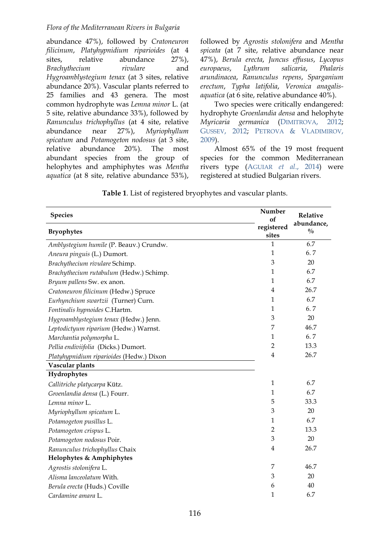#### *Flora of the Mediterranean Rivers in Bulgaria*

abundance 47%), followed by *Cratoneuron filicinum*, *Platyhypnidium riparioides* (at 4 sites, relative abundance 27%), *Brachythecium rivulare* and *Hygroamblystegium tenax* (at 3 sites, relative abundance 20%). Vascular plants referred to 25 families and 43 genera. The most common hydrophyte was *Lemna minor* L. (at 5 site, relative abundance 33%), followed by *Ranunculus trichophyllus* (at 4 site, relative abundance near 27%), *Myriophyllum spicatum* and *Potamogeton nodosus* (at 3 site, relative abundance 20%). The most abundant species from the group of helophytes and amphiphytes was *Mentha aquatica* (at 8 site, relative abundance 53%), followed by *Agrostis stolonifera* and *Mentha spicata* (at 7 site, relative abundance near 47%), *Berula erecta*, *Juncus effusus*, *Lycopus europaeus*, *Lythrum salicaria*, *Phalaris arundinacea*, *Ranunculus repens*, *Sparganium erectum*, *Typha latifolia*, *Veronica anagalisaquatica* (at 6 site, relative abundance 40%).

Two species were critically endangered: hydrophyte *Groenlandia densa* and helophyte *Myricaria germanica* [\(DIMITROVA, 2012;](#page-5-5) [GUSSEV, 2012;](#page-5-6) PETROVA & [VLADIMIROV,](#page-6-2) [2009\)](#page-6-2).

Almost 65% of the 19 most frequent species for the common Mediterranean rivers type [\(AGUIAR](#page-5-7) *et al*., 2014) were registered at studied Bulgarian rivers.

| <b>Species</b>                           | Number<br>of        | Relative                    |
|------------------------------------------|---------------------|-----------------------------|
| <b>Bryophytes</b>                        | registered<br>sites | abundance,<br>$\frac{0}{0}$ |
| Amblystegium humile (P. Beauv.) Crundw.  | 1                   | 6.7                         |
| Aneura pinguis (L.) Dumort.              | $\mathbf{1}$        | 6.7                         |
| Brachythecium rivulare Schimp.           | 3                   | 20                          |
| Brachythecium rutabulum (Hedw.) Schimp.  | $\mathbf{1}$        | 6.7                         |
| Bryum pallens Sw. ex anon.               | $\mathbf{1}$        | 6.7                         |
| Cratoneuron filicinum (Hedw.) Spruce     | 4                   | 26.7                        |
| Eurhynchium swartzii (Turner) Curn.      | $\mathbf{1}$        | 6.7                         |
| Fontinalis hypnoides C.Hartm.            | 1                   | 6.7                         |
| Hygroamblystegium tenax (Hedw.) Jenn.    | 3                   | 20                          |
| Leptodictyum riparium (Hedw.) Warnst.    | 7                   | 46.7                        |
| Marchantia polymorpha L.                 | 1                   | 6.7                         |
| Pellia endiviifolia (Dicks.) Dumort.     | $\overline{2}$      | 13.3                        |
| Platyhypnidium riparioides (Hedw.) Dixon | $\overline{4}$      | 26.7                        |
| Vascular plants                          |                     |                             |
| Hydrophytes                              |                     |                             |
| Callitriche platycarpa Kütz.             | $\mathbf{1}$        | 6.7                         |
| Groenlandia densa (L.) Fourr.            | $\mathbf{1}$        | 6.7                         |
| Lemna minor L.                           | 5                   | 33.3                        |
| Myriophyllum spicatum L.                 | 3                   | 20                          |
| Potamogeton pusillus L.                  | $\mathbf{1}$        | 6.7                         |
| Potamogeton crispus L.                   | $\overline{2}$      | 13.3                        |
| Potamogeton nodosus Poir.                | 3                   | 20                          |
| Ranunculus trichophyllus Chaix           | 4                   | 26.7                        |
| Helophytes & Amphiphytes                 |                     |                             |
| Agrostis stolonifera L.                  | 7                   | 46.7                        |
| Alisma lanceolatum With.                 | 3                   | 20                          |
| Berula erecta (Huds.) Coville            | 6                   | 40                          |
| Cardamine amara L.                       | 1                   | 6.7                         |

**Table 1**. List of registered bryophytes and vascular plants.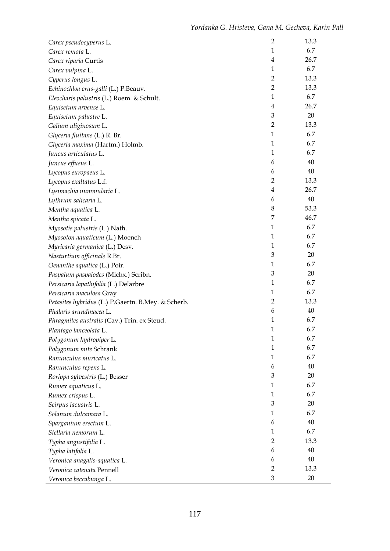| Carex pseudocyperus L.                             | $\overline{2}$ | 13.3   |
|----------------------------------------------------|----------------|--------|
| Carex remota L.                                    | $\mathbf{1}$   | 6.7    |
| Carex riparia Curtis                               | $\overline{4}$ | 26.7   |
| Carex vulpina L.                                   | $\mathbf{1}$   | 6.7    |
| Cyperus longus L.                                  | $\overline{2}$ | 13.3   |
| Echinochloa crus-galli (L.) P.Beauv.               | $\overline{2}$ | 13.3   |
| Eleocharis palustris (L.) Roem. & Schult.          | $\mathbf{1}$   | 6.7    |
| Equisetum arvense L.                               | $\overline{4}$ | 26.7   |
| Equisetum palustre L.                              | $\mathfrak{Z}$ | 20     |
| Galium uliginosum L.                               | $\overline{2}$ | 13.3   |
| Glyceria fluitans (L.) R. Br.                      | $\mathbf{1}$   | 6.7    |
| Glyceria maxima (Hartm.) Holmb.                    | $\mathbf{1}$   | 6.7    |
| Juncus articulatus L.                              | $\mathbf{1}$   | 6.7    |
| Juncus effusus L.                                  | 6              | 40     |
| Lycopus europaeus L.                               | 6              | $40\,$ |
| Lycopus exaltatus L.f.                             | $\overline{2}$ | 13.3   |
| Lysimachia nummularia L.                           | $\overline{4}$ | 26.7   |
| Lythrum salicaria L.                               | 6              | 40     |
| Mentha aquatica L.                                 | 8              | 53.3   |
| Mentha spicata L.                                  | 7              | 46.7   |
| Myosotis palustris (L.) Nath.                      | $\mathbf{1}$   | 6.7    |
| Myosoton aquaticum (L.) Moench                     | $\mathbf{1}$   | 6.7    |
| Myricaria germanica (L.) Desv.                     | $\mathbf{1}$   | 6.7    |
| Nasturtium officinale R.Br.                        | $\mathfrak{Z}$ | 20     |
| Oenanthe aquatica (L.) Poir.                       | $\mathbf{1}$   | 6.7    |
| Paspalum paspalodes (Michx.) Scribn.               | 3              | 20     |
| Persicaria lapathifolia (L.) Delarbre              | $\mathbf{1}$   | 6.7    |
| Persicaria maculosa Gray                           | $\mathbf{1}$   | 6.7    |
| Petasites hybridus (L.) P.Gaertn. B.Mey. & Scherb. | 2              | 13.3   |
| Phalaris arundinacea L.                            | 6              | $40\,$ |
| Phragmites australis (Cav.) Trin. ex Steud.        | $\mathbf{1}$   | 6.7    |
| Plantago lanceolata L.                             | $\mathbf{1}$   | 6.7    |
| Polygonum hydropiper L.                            | $\mathbf{1}$   | 6.7    |
| Polygonum mite Schrank                             | $\mathbf{1}$   | 6.7    |
| Ranunculus muricatus L.                            | $\mathbf{1}$   | 6.7    |
| Ranunculus repens L.                               | 6              | 40     |
| Rorippa sylvestris (L.) Besser                     | 3              | 20     |
| Rumex aquaticus L.                                 | $\mathbf{1}$   | 6.7    |
| Rumex crispus L.                                   | $\mathbf{1}$   | 6.7    |
| Scirpus lacustris L.                               | 3              | 20     |
| Solanum dulcamara L.                               | $\mathbf{1}$   | 6.7    |
| Sparganium erectum L.                              | 6              | 40     |
| Stellaria nemorum L.                               | 1              | 6.7    |
| Typha angustifolia L.                              | $\overline{2}$ | 13.3   |
| Typha latifolia L.                                 | 6              | 40     |
| Veronica anagalis-aquatica L.                      | 6              | 40     |
| Veronica catenata Pennell                          | $\overline{2}$ | 13.3   |
| Veronica beccabunga L.                             | 3              | 20     |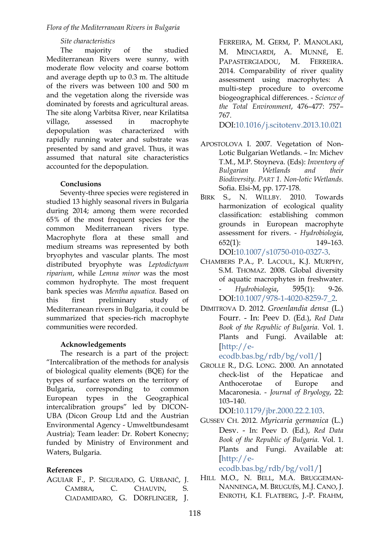*Flora of the Mediterranean Rivers in Bulgaria*

#### *Site characteristics*

The majority of the studied Mediterranean Rivers were sunny, with moderate flow velocity and coarse bottom and average depth up to 0.3 m. The altitude of the rivers was between 100 and 500 m and the vegetation along the riverside was dominated by forests and agricultural areas. The site along Varbitsa River, near Krilatitsa village, assessed in macrophyte depopulation was characterized with rapidly running water and substrate was presented by sand and gravel. Thus, it was assumed that natural site characteristics accounted for the depopulation.

#### **Conclusions**

Seventy-three species were registered in studied 13 highly seasonal rivers in Bulgaria during 2014; among them were recorded 65% of the most frequent species for the common Mediterranean rivers type. Macrophyte flora at these small and medium streams was represented by both bryophytes and vascular plants. The most distributed bryophyte was *Leptodictyum riparium*, while *Lemna minor* was the most common hydrophyte. The most frequent bank species was *Mentha aquatica*. Based on this first preliminary study of Mediterranean rivers in Bulgaria, it could be summarized that species-rich macrophyte communities were recorded.

#### **Acknowledgements**

The research is a part of the project: "Intercalibration of the methods for analysis of biological quality elements (BQE) for the types of surface waters on the territory of Bulgaria, corresponding to common European types in the Geographical intercalibration groups" led by DICON-UBA (Dicon Group Ltd and the Austrian Environmental Agency - Umweltbundesamt Austria); Team leader: Dr. Robert Konecny; funded by Ministry of Environment and Waters, Bulgaria.

#### **References**

<span id="page-5-7"></span>AGUIAR F., P. SEGURADO, G. URBANIČ, J. CAMBRA, C. CHAUVIN, S. CIADAMIDARO, G. DÖRFLINGER, J. FERREIRA, M. GERM, P. MANOLAKI, M. MINCIARDI, A. MUNNÉ, E. PAPASTERGIADOU, M. FERREIRA. 2014. Comparability of river quality assessment using macrophytes: A multi-step procedure to overcome biogeographical differences. - *Science of the Total Environment*, 476–477: 757– 767.

DOI[:10.1016/j.scitotenv.2013.10.021](http://dx.doi.org/10.1016/j.scitotenv.2013.10.021)

- <span id="page-5-2"></span>APOSTOLOVA I. 2007. Vegetation of Non-Lotic Bulgarian Wetlands. – In: Michev T.M., M.P. Stoyneva. (Eds): *Inventory of Bulgarian Wetlands and their Biodiversity. PART 1. Non-lotic Wetlands.* Sofia. Elsi-M, pp. 177-178.
- <span id="page-5-1"></span>BIRK S., N. WILLBY. 2010. Towards harmonization of ecological quality classification: establishing common grounds in European macrophyte assessment for rivers. - *Hydrobiologia*, 652(1): 149–163. DOI[:10.1007/s10750-010-0327-3.](http://dx.doi.org/10.1007/s10750-010-0327-3)
- <span id="page-5-0"></span>CHAMBERS P.A., P. LACOUL, K.J. MURPHY, S.M. THOMAZ. 2008. Global diversity of aquatic macrophytes in freshwater. - *Hydrobiologia*, 595(1): 9-26. DOI[:10.1007/978-1-4020-8259-7\\_2.](http://dx.doi.org/10.1007/978-1-4020-8259-7_2)
- <span id="page-5-5"></span>DIMITROVA D. 2012. *Groenlandia densa* (L.) Fourr. - In: Peev D. (Ed.), *Red Data Book of the Republic of Bulgaria.* Vol. 1. Plants and Fungi. Available at: [\[http://e-](http://e-ecodb.bas.bg/rdb/bg/vol1/)

[ecodb.bas.bg/rdb/bg/vol1/\]](http://e-ecodb.bas.bg/rdb/bg/vol1/)

<span id="page-5-3"></span>GROLLE R., D.G. LONG. 2000. An annotated check-list of the Hepaticae and Anthocerotae of Europe and Macaronesia. - *Journal of Bryology*, 22: 103–140.

DOI[:10.1179/jbr.2000.22.2.103.](http://dx.doi.org/10.1179/jbr.2000.22.2.103)

<span id="page-5-6"></span>GUSSEV CH. 2012. *Myricaria germanica* (L.) Desv. - In: Peev D. (Ed.), *Red Data Book of the Republic of Bulgaria.* Vol. 1. Plants and Fungi. Available at: [\[http://e-](http://e-ecodb.bas.bg/rdb/bg/vol1/)

[ecodb.bas.bg/rdb/bg/vol1/\]](http://e-ecodb.bas.bg/rdb/bg/vol1/)

<span id="page-5-4"></span>HILL M.O., N. BELL, M.A. BRUGGEMAN-NANNENGA, M. BRUGUÉS, M.J. CANO, J. ENROTH, K.I. FLATBERG, J.-P. FRAHM,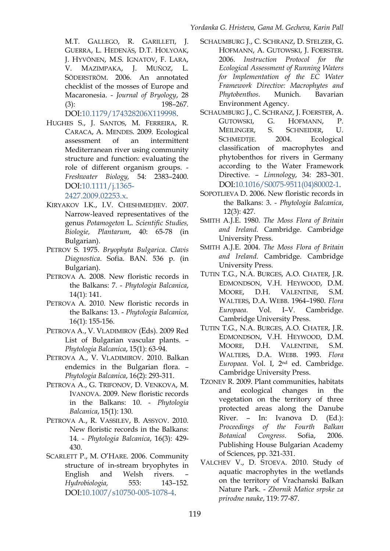M.T. GALLEGO, R. GARILLETI, J. GUERRA, L. HEDENÄS, D.T. HOLYOAK, J. HYVÖNEN, M.S. IGNATOV, F. LARA, V. MAZIMPAKA, J. MUÑOZ, L. SÖDERSTRÖM. 2006. An annotated checklist of the mosses of Europe and Macaronesia. - *Journal of Bryology*, 28 (3): 198–267.

#### DOI[:10.1179/174328206X119998.](http://dx.doi.org/10.1179/174328206X119998)

<span id="page-6-10"></span>HUGHES S., J. SANTOS, M. FERREIRA, R. CARACA, A. MENDES. 2009. Ecological assessment of an intermittent Mediterranean river using community structure and function: evaluating the role of different organism groups. - *Freshwater Biology,* 54: 2383–2400. DOI[:10.1111/j.1365-](http://dx.doi.org/10.1111/j.1365-2427.2009.02253.x)

[2427.2009.02253.x.](http://dx.doi.org/10.1111/j.1365-2427.2009.02253.x)

- <span id="page-6-6"></span>KIRYAKOV I.K., I.V. CHESHMEDJIEV. 2007. Narrow-leaved representatives of the genus *Potamogeton* L. *Scientific Studies, Biologie, Plantarum*, 40: 65-78 (in Bulgarian).
- <span id="page-6-11"></span>PETROV S. 1975. *Bryophyta Bulgarica*. *Clavis Diagnostica*. Sofia. BAN. 536 p. (in Bulgarian).
- <span id="page-6-2"></span>PETROVA A. 2008. New floristic records in the Balkans: 7. - *Phytologia Balcanica*, 14(1): 141.
- <span id="page-6-3"></span>PETROVA A. 2010. New floristic records in the Balkans: 13. - *Phytologia Balcanica*, 16(1): 155-156.
- PETROVA A., V. VLADIMIROV (Eds). 2009 Red List of Bulgarian vascular plants. – *Phytologia Balcanica*, 15(1): 63-94.
- <span id="page-6-1"></span>PETROVA A., V. VLADIMIROV. 2010. Balkan endemics in the Bulgarian flora. – *Phytologia Balcanica*, 16(2): 293-311.
- <span id="page-6-0"></span>PETROVA A., G. TRIFONOV, D. VENKOVA, M. IVANOVA. 2009. New floristic records in the Balkans: 10. - *Phytologia Balcanica*, 15(1): 130.
- <span id="page-6-4"></span>PETROVA A., R. VASSILEV, B. ASSYOV. 2010. New floristic records in the Balkans: 14. - *Phytologia Balcanica*, 16(3): 429- 430.
- SCARLETT P., M. O'HARE. 2006. Community structure of in-stream bryophytes in English and Welsh rivers. – *Hydrobiologia,* 553: 143–152. DOI[:10.1007/s10750-005-1078-4.](http://dx.doi.org/10.1007/s10750-005-1078-4)
- <span id="page-6-16"></span>SCHAUMBURG J., C. SCHRANZ, D. STELZER, G. HOFMANN, A. GUTOWSKI, J. FOERSTER. 2006. *Instruction Protocol for the Ecological Assessment of Running Waters for Implementation of the EC Water Framework Directive: Macrophytes and Phytobenthos*. Munich. Bavarian Environment Agency.
- <span id="page-6-15"></span>SCHAUMBURG J., C. SCHRANZ, J. FOERSTER, A. GUTOWSKI, G. HOFMANN, P. MEILINGER, S. SCHNEIDER, U. SCHMEDTJE. 2004. Ecological classification of macrophytes and phytobenthos for rivers in Germany according to the Water Framework Directive. – *Limnology*, 34: 283–301. DOI[:10.1016/S0075-9511\(04\)80002-1.](http://dx.doi.org/10.1016/S0075-9511(04)80002-1)
- <span id="page-6-5"></span>SOPOTLIEVA D. 2006. New floristic records in the Balkans: 3. - *Phytologia Balcanica*, 12(3): 427.
- SMITH A.J.E. 1980. *The Moss Flora of Britain and Ireland*. Cambridge. Cambridge University Press.
- <span id="page-6-12"></span>SMITH A.J.E. 2004. *The Moss Flora of Britain and Ireland*. Cambridge. Cambridge University Press.
- <span id="page-6-13"></span>TUTIN T.G., N.A. BURGES, A.O. CHATER, J.R. EDMONDSON, V.H. HEYWOOD, D.M. MOORE, D.H. VALENTINE, S.M. WALTERS, D.A. WEBB. 1964–1980. *Flora Europaea*. Vol. І–V. Cambridge. Cambridge University Press.
- <span id="page-6-14"></span>TUTIN T.G., N.A. BURGES, A.O. CHATER, J.R. EDMONDSON, V.H. HEYWOOD, D.M. MOORE, D.H. VALENTINE, S.M. WALTERS, D.A. WEBB. 1993. *Flora Europaea*. Vol. І, 2nd ed. Cambridge. Cambridge University Press.
- <span id="page-6-9"></span>TZONEV R. 2009. Plant communities, habitats and ecological changes in the vegetation on the territory of three protected areas along the Danube River. – In: Ivanova D. (Ed.): *Proceedings of the Fourth Balkan Botanical Congress.* Sofia, 2006*.* Publishing House Bulgarian Academy of Sciences, pp. 321-331.
- <span id="page-6-8"></span><span id="page-6-7"></span>VALCHEV V., D. STOEVA. 2010. Study of aquatic macrophytes in the wetlands on the territory of Vrachanski Balkan Nature Park. - *Zbornik Matice srpske za prirodne nauke*, 119: 77-87.